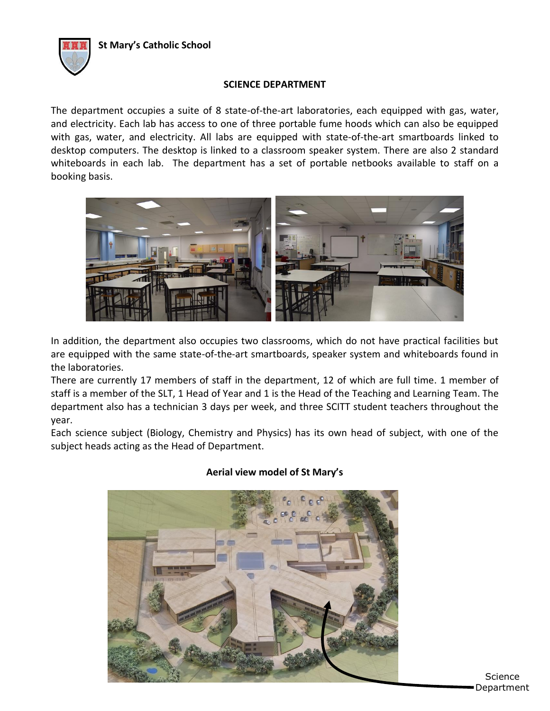

### **SCIENCE DEPARTMENT**

The department occupies a suite of 8 state-of-the-art laboratories, each equipped with gas, water, and electricity. Each lab has access to one of three portable fume hoods which can also be equipped with gas, water, and electricity. All labs are equipped with state-of-the-art smartboards linked to desktop computers. The desktop is linked to a classroom speaker system. There are also 2 standard whiteboards in each lab. The department has a set of portable netbooks available to staff on a booking basis.



In addition, the department also occupies two classrooms, which do not have practical facilities but are equipped with the same state-of-the-art smartboards, speaker system and whiteboards found in the laboratories.

There are currently 17 members of staff in the department, 12 of which are full time. 1 member of staff is a member of the SLT, 1 Head of Year and 1 is the Head of the Teaching and Learning Team. The department also has a technician 3 days per week, and three SCITT student teachers throughout the year.

Each science subject (Biology, Chemistry and Physics) has its own head of subject, with one of the subject heads acting as the Head of Department.



# **Aerial view model of St Mary's**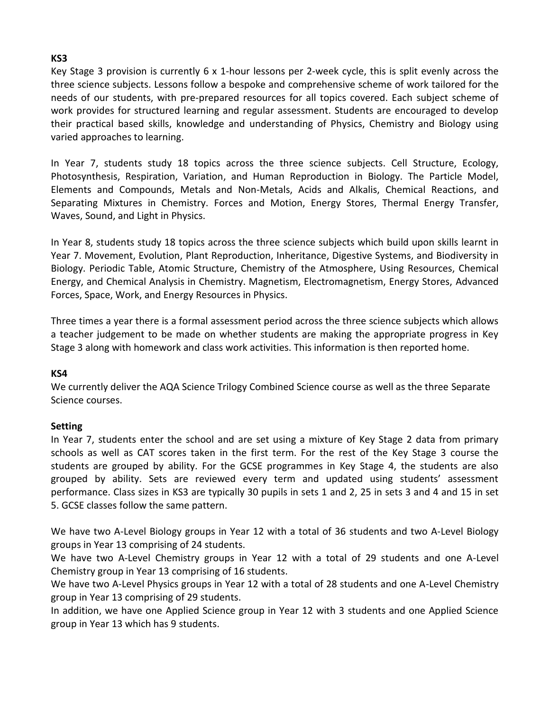# **KS3**

Key Stage 3 provision is currently 6 x 1-hour lessons per 2-week cycle, this is split evenly across the three science subjects. Lessons follow a bespoke and comprehensive scheme of work tailored for the needs of our students, with pre-prepared resources for all topics covered. Each subject scheme of work provides for structured learning and regular assessment. Students are encouraged to develop their practical based skills, knowledge and understanding of Physics, Chemistry and Biology using varied approaches to learning.

In Year 7, students study 18 topics across the three science subjects. Cell Structure, Ecology, Photosynthesis, Respiration, Variation, and Human Reproduction in Biology. The Particle Model, Elements and Compounds, Metals and Non-Metals, Acids and Alkalis, Chemical Reactions, and Separating Mixtures in Chemistry. Forces and Motion, Energy Stores, Thermal Energy Transfer, Waves, Sound, and Light in Physics.

In Year 8, students study 18 topics across the three science subjects which build upon skills learnt in Year 7. Movement, Evolution, Plant Reproduction, Inheritance, Digestive Systems, and Biodiversity in Biology. Periodic Table, Atomic Structure, Chemistry of the Atmosphere, Using Resources, Chemical Energy, and Chemical Analysis in Chemistry. Magnetism, Electromagnetism, Energy Stores, Advanced Forces, Space, Work, and Energy Resources in Physics.

Three times a year there is a formal assessment period across the three science subjects which allows a teacher judgement to be made on whether students are making the appropriate progress in Key Stage 3 along with homework and class work activities. This information is then reported home.

#### **KS4**

We currently deliver the AQA Science Trilogy Combined Science course as well as the three Separate Science courses.

# **Setting**

In Year 7, students enter the school and are set using a mixture of Key Stage 2 data from primary schools as well as CAT scores taken in the first term. For the rest of the Key Stage 3 course the students are grouped by ability. For the GCSE programmes in Key Stage 4, the students are also grouped by ability. Sets are reviewed every term and updated using students' assessment performance. Class sizes in KS3 are typically 30 pupils in sets 1 and 2, 25 in sets 3 and 4 and 15 in set 5. GCSE classes follow the same pattern.

We have two A-Level Biology groups in Year 12 with a total of 36 students and two A-Level Biology groups in Year 13 comprising of 24 students.

We have two A-Level Chemistry groups in Year 12 with a total of 29 students and one A-Level Chemistry group in Year 13 comprising of 16 students.

We have two A-Level Physics groups in Year 12 with a total of 28 students and one A-Level Chemistry group in Year 13 comprising of 29 students.

In addition, we have one Applied Science group in Year 12 with 3 students and one Applied Science group in Year 13 which has 9 students.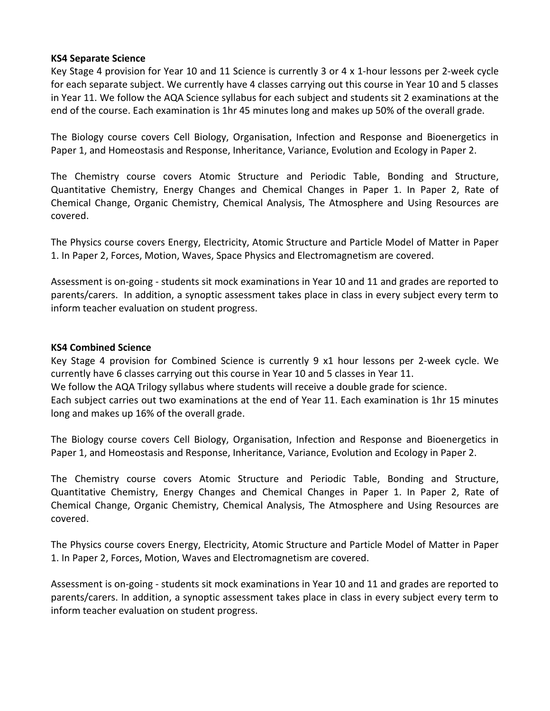#### **KS4 Separate Science**

Key Stage 4 provision for Year 10 and 11 Science is currently 3 or 4 x 1-hour lessons per 2-week cycle for each separate subject. We currently have 4 classes carrying out this course in Year 10 and 5 classes in Year 11. We follow the AQA Science syllabus for each subject and students sit 2 examinations at the end of the course. Each examination is 1hr 45 minutes long and makes up 50% of the overall grade.

The Biology course covers Cell Biology, Organisation, Infection and Response and Bioenergetics in Paper 1, and Homeostasis and Response, Inheritance, Variance, Evolution and Ecology in Paper 2.

The Chemistry course covers Atomic Structure and Periodic Table, Bonding and Structure, Quantitative Chemistry, Energy Changes and Chemical Changes in Paper 1. In Paper 2, Rate of Chemical Change, Organic Chemistry, Chemical Analysis, The Atmosphere and Using Resources are covered.

The Physics course covers Energy, Electricity, Atomic Structure and Particle Model of Matter in Paper 1. In Paper 2, Forces, Motion, Waves, Space Physics and Electromagnetism are covered.

Assessment is on-going - students sit mock examinations in Year 10 and 11 and grades are reported to parents/carers. In addition, a synoptic assessment takes place in class in every subject every term to inform teacher evaluation on student progress.

#### **KS4 Combined Science**

Key Stage 4 provision for Combined Science is currently 9 x1 hour lessons per 2-week cycle. We currently have 6 classes carrying out this course in Year 10 and 5 classes in Year 11. We follow the AQA Trilogy syllabus where students will receive a double grade for science. Each subject carries out two examinations at the end of Year 11. Each examination is 1hr 15 minutes long and makes up 16% of the overall grade.

The Biology course covers Cell Biology, Organisation, Infection and Response and Bioenergetics in Paper 1, and Homeostasis and Response, Inheritance, Variance, Evolution and Ecology in Paper 2.

The Chemistry course covers Atomic Structure and Periodic Table, Bonding and Structure, Quantitative Chemistry, Energy Changes and Chemical Changes in Paper 1. In Paper 2, Rate of Chemical Change, Organic Chemistry, Chemical Analysis, The Atmosphere and Using Resources are covered.

The Physics course covers Energy, Electricity, Atomic Structure and Particle Model of Matter in Paper 1. In Paper 2, Forces, Motion, Waves and Electromagnetism are covered.

Assessment is on-going - students sit mock examinations in Year 10 and 11 and grades are reported to parents/carers. In addition, a synoptic assessment takes place in class in every subject every term to inform teacher evaluation on student progress.